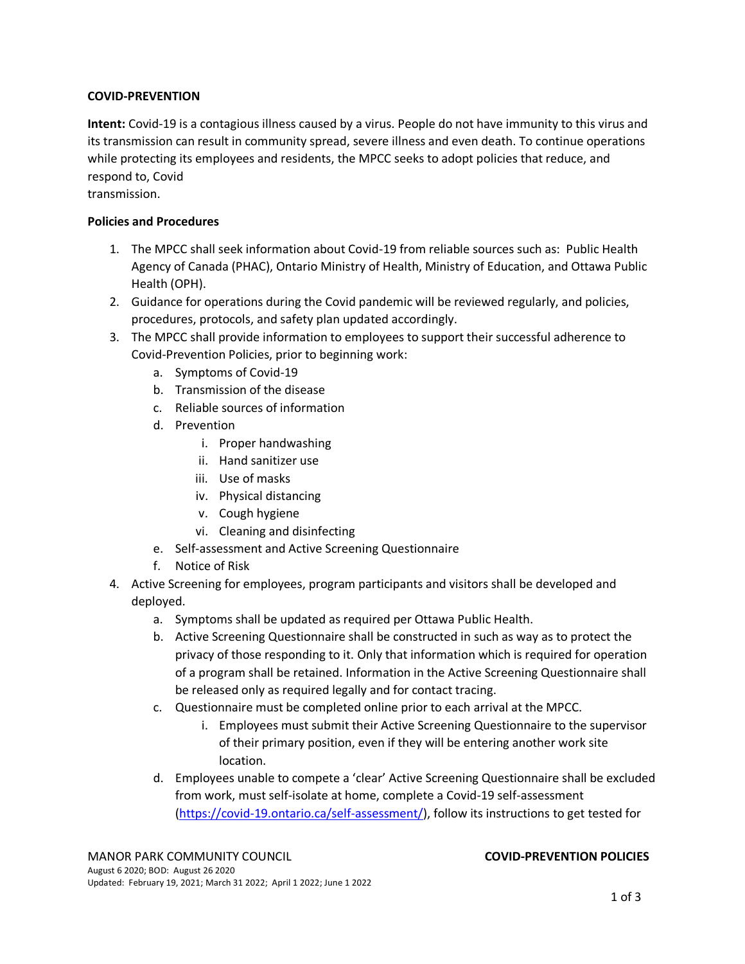## **COVID-PREVENTION**

**Intent:** Covid-19 is a contagious illness caused by a virus. People do not have immunity to this virus and its transmission can result in community spread, severe illness and even death. To continue operations while protecting its employees and residents, the MPCC seeks to adopt policies that reduce, and respond to, Covid

transmission.

## **Policies and Procedures**

- 1. The MPCC shall seek information about Covid-19 from reliable sources such as: Public Health Agency of Canada (PHAC), Ontario Ministry of Health, Ministry of Education, and Ottawa Public Health (OPH).
- 2. Guidance for operations during the Covid pandemic will be reviewed regularly, and policies, procedures, protocols, and safety plan updated accordingly.
- 3. The MPCC shall provide information to employees to support their successful adherence to Covid-Prevention Policies, prior to beginning work:
	- a. Symptoms of Covid-19
	- b. Transmission of the disease
	- c. Reliable sources of information
	- d. Prevention
		- i. Proper handwashing
		- ii. Hand sanitizer use
		- iii. Use of masks
		- iv. Physical distancing
		- v. Cough hygiene
		- vi. Cleaning and disinfecting
	- e. Self-assessment and Active Screening Questionnaire
	- f. Notice of Risk
- 4. Active Screening for employees, program participants and visitors shall be developed and deployed.
	- a. Symptoms shall be updated as required per Ottawa Public Health.
	- b. Active Screening Questionnaire shall be constructed in such as way as to protect the privacy of those responding to it. Only that information which is required for operation of a program shall be retained. Information in the Active Screening Questionnaire shall be released only as required legally and for contact tracing.
	- c. Questionnaire must be completed online prior to each arrival at the MPCC.
		- i. Employees must submit their Active Screening Questionnaire to the supervisor of their primary position, even if they will be entering another work site location.
	- d. Employees unable to compete a 'clear' Active Screening Questionnaire shall be excluded from work, must self-isolate at home, complete a Covid-19 self-assessment [\(https://covid-19.ontario.ca/self-assessment/\)](https://covid-19.ontario.ca/self-assessment/), follow its instructions to get tested for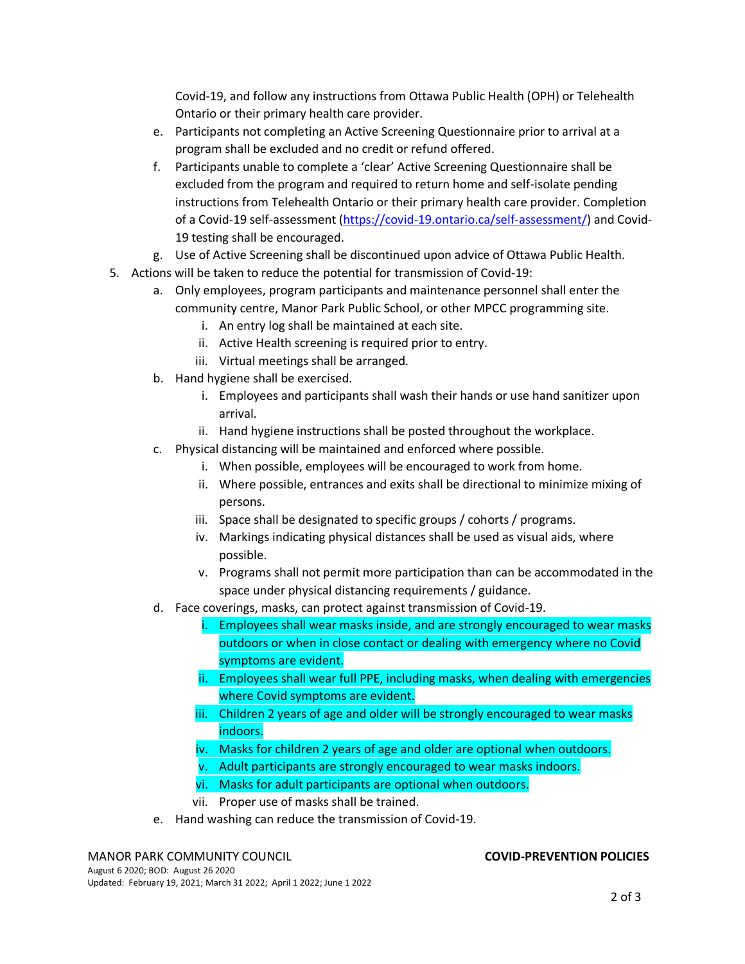Covid-19, and follow any instructions from Ottawa Public Health (OPH) or Telehealth Ontario or their primary health care provider.

- e. Participants not completing an Active Screening Questionnaire prior to arrival at a program shall be excluded and no credit or refund offered.
- f. Participants unable to complete a 'clear' Active Screening Questionnaire shall be excluded from the program and required to return home and self-isolate pending instructions from Telehealth Ontario or their primary health care provider. Completion of a Covid-19 self-assessment [\(https://covid-19.ontario.ca/self-assessment/\)](https://covid-19.ontario.ca/self-assessment/) and Covid-19 testing shall be encouraged.
- g. Use of Active Screening shall be discontinued upon advice of Ottawa Public Health.
- 5. Actions will be taken to reduce the potential for transmission of Covid-19:
	- a. Only employees, program participants and maintenance personnel shall enter the community centre, Manor Park Public School, or other MPCC programming site.
		- i. An entry log shall be maintained at each site.
		- ii. Active Health screening is required prior to entry.
		- iii. Virtual meetings shall be arranged.
	- b. Hand hygiene shall be exercised.
		- i. Employees and participants shall wash their hands or use hand sanitizer upon arrival.
		- ii. Hand hygiene instructions shall be posted throughout the workplace.
	- c. Physical distancing will be maintained and enforced where possible.
		- i. When possible, employees will be encouraged to work from home.
		- ii. Where possible, entrances and exits shall be directional to minimize mixing of persons.
		- iii. Space shall be designated to specific groups / cohorts / programs.
		- iv. Markings indicating physical distances shall be used as visual aids, where possible.
		- v. Programs shall not permit more participation than can be accommodated in the space under physical distancing requirements / guidance.
	- d. Face coverings, masks, can protect against transmission of Covid-19.
		- i. Employees shall wear masks inside, and are strongly encouraged to wear masks outdoors or when in close contact or dealing with emergency where no Covid symptoms are evident.
		- ii. Employees shall wear full PPE, including masks, when dealing with emergencies where Covid symptoms are evident.
		- iii. Children 2 years of age and older will be strongly encouraged to wear masks indoors.
		- iv. Masks for children 2 years of age and older are optional when outdoors.
		- v. Adult participants are strongly encouraged to wear masks indoors.
		- vi. Masks for adult participants are optional when outdoors.
		- vii. Proper use of masks shall be trained.
	- e. Hand washing can reduce the transmission of Covid-19.

# MANOR PARK COMMUNITY COUNCIL **COVID-PREVENTION POLICIES**